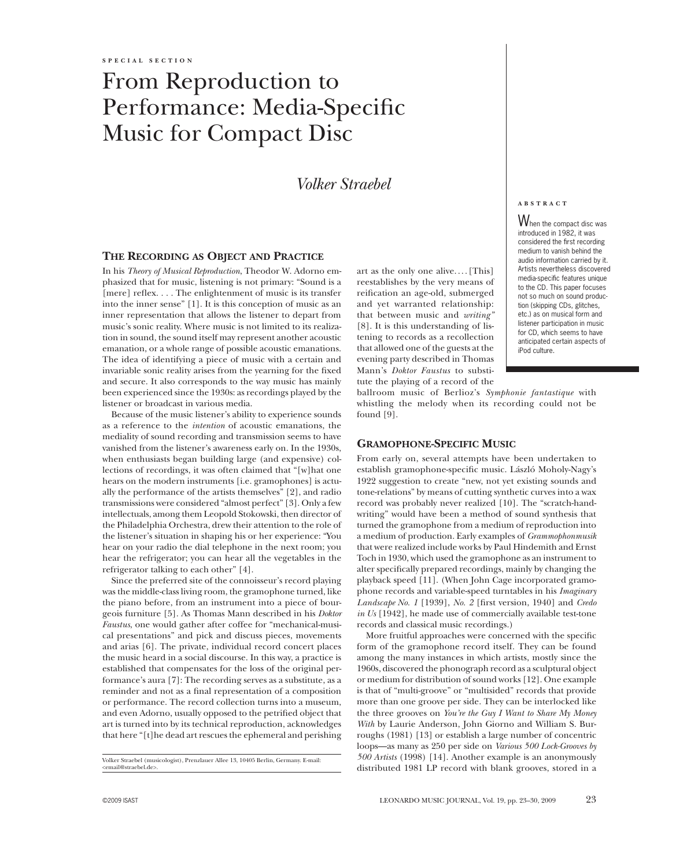# From Reproduction to Performance: Media-Specific Music for Compact Disc

## *Volker Straebel*

### **The Recording as Object and Practice**

In his *Theory of Musical Reproduction*, Theodor W. Adorno emphasized that for music, listening is not primary: "Sound is a [mere] reflex. . . . The enlightenment of music is its transfer into the inner sense" [1]. It is this conception of music as an inner representation that allows the listener to depart from music's sonic reality. Where music is not limited to its realization in sound, the sound itself may represent another acoustic emanation, or a whole range of possible acoustic emanations. The idea of identifying a piece of music with a certain and invariable sonic reality arises from the yearning for the fixed and secure. It also corresponds to the way music has mainly been experienced since the 1930s: as recordings played by the listener or broadcast in various media.

Because of the music listener's ability to experience sounds as a reference to the *intention* of acoustic emanations, the mediality of sound recording and transmission seems to have vanished from the listener's awareness early on. In the 1930s, when enthusiasts began building large (and expensive) collections of recordings, it was often claimed that "[w]hat one hears on the modern instruments [i.e. gramophones] is actually the performance of the artists themselves" [2], and radio transmissions were considered "almost perfect" [3]. Only a few intellectuals, among them Leopold Stokowski, then director of the Philadelphia Orchestra, drew their attention to the role of the listener's situation in shaping his or her experience: "You hear on your radio the dial telephone in the next room; you hear the refrigerator; you can hear all the vegetables in the refrigerator talking to each other" [4].

Since the preferred site of the connoisseur's record playing was the middle-class living room, the gramophone turned, like the piano before, from an instrument into a piece of bourgeois furniture [5]. As Thomas Mann described in his *Doktor Faustus*, one would gather after coffee for "mechanical-musical presentations" and pick and discuss pieces, movements and arias [6]. The private, individual record concert places the music heard in a social discourse. In this way, a practice is established that compensates for the loss of the original performance's aura [7]: The recording serves as a substitute, as a reminder and not as a final representation of a composition or performance. The record collection turns into a museum, and even Adorno, usually opposed to the petrified object that art is turned into by its technical reproduction, acknowledges that here "[t]he dead art rescues the ephemeral and perishing

Volker Straebel (musicologist), Prenzlauer Allee 13, 10405 Berlin, Germany. E-mail: <email@straebel.de>.

art as the only one alive.... [This] reestablishes by the very means of reification an age-old, submerged and yet warranted relationship: that between music and *writing"*  [8]. It is this understanding of listening to records as a recollection that allowed one of the guests at the evening party described in Thomas Mann's *Doktor Faustus* to substitute the playing of a record of the

#### **a b s t r a c t**

When the compact disc was introduced in 1982, it was considered the first recording medium to vanish behind the audio information carried by it. Artists nevertheless discovered media-specific features unique to the CD. This paper focuses not so much on sound production (skipping CDs, glitches, etc.) as on musical form and listener participation in music for CD, which seems to have anticipated certain aspects of iPod culture.

ballroom music of Berlioz's *Symphonie fantastique* with whistling the melody when its recording could not be found [9].

## **Gramophone-Specific Music**

From early on, several attempts have been undertaken to establish gramophone-specific music. László Moholy-Nagy's 1922 suggestion to create "new, not yet existing sounds and tone-relations" by means of cutting synthetic curves into a wax record was probably never realized [10]. The "scratch-handwriting" would have been a method of sound synthesis that turned the gramophone from a medium of reproduction into a medium of production. Early examples of *Grammophonmusik* that were realized include works by Paul Hindemith and Ernst Toch in 1930, which used the gramophone as an instrument to alter specifically prepared recordings, mainly by changing the playback speed [11]. (When John Cage incorporated gramophone records and variable-speed turntables in his *Imaginary Landscape No. 1* [1939], *No. 2* [first version, 1940] and *Credo in Us* [1942], he made use of commercially available test-tone records and classical music recordings.)

More fruitful approaches were concerned with the specific form of the gramophone record itself. They can be found among the many instances in which artists, mostly since the 1960s, discovered the phonograph record as a sculptural object or medium for distribution of sound works [12]. One example is that of "multi-groove" or "multisided" records that provide more than one groove per side. They can be interlocked like the three grooves on *You're the Guy I Want to Share My Money With* by Laurie Anderson, John Giorno and William S. Burroughs (1981) [13] or establish a large number of concentric loops—as many as 250 per side on *Various 500 Lock-Grooves by 500 Artists* (1998) [14]. Another example is an anonymously distributed 1981 LP record with blank grooves, stored in a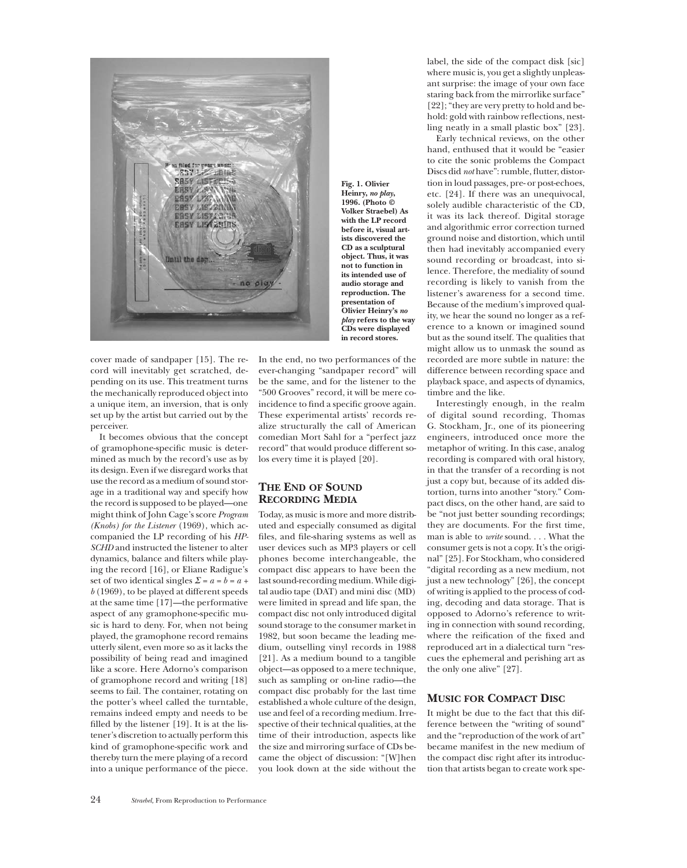

cover made of sandpaper [15]. The record will inevitably get scratched, depending on its use. This treatment turns the mechanically reproduced object into a unique item, an inversion, that is only set up by the artist but carried out by the perceiver.

It becomes obvious that the concept of gramophone-specific music is determined as much by the record's use as by its design. Even if we disregard works that use the record as a medium of sound storage in a traditional way and specify how the record is supposed to be played—one might think of John Cage's score *Program (Knobs) for the Listener* (1969), which accompanied the LP recording of his *HP-SCHD* and instructed the listener to alter dynamics, balance and filters while playing the record [16], or Eliane Radigue's set of two identical singles  $\Sigma = a = b = a +$ *b* (1969), to be played at different speeds at the same time [17]—the performative aspect of any gramophone-specific music is hard to deny. For, when not being played, the gramophone record remains utterly silent, even more so as it lacks the possibility of being read and imagined like a score. Here Adorno's comparison of gramophone record and writing [18] seems to fail. The container, rotating on the potter's wheel called the turntable, remains indeed empty and needs to be filled by the listener [19]. It is at the listener's discretion to actually perform this kind of gramophone-specific work and thereby turn the mere playing of a record into a unique performance of the piece. **Fig. 1. Olivier Heinry,** *no play***, 1996. (Photo © Volker Straebel) As with the LP record before it, visual artists discovered the CD as a sculptural object. Thus, it was not to function in its intended use of audio storage and reproduction. The presentation of Olivier Heinry's** *no play* **refers to the way CDs were displayed in record stores.**

In the end, no two performances of the ever-changing "sandpaper record" will be the same, and for the listener to the "500 Grooves" record, it will be mere coincidence to find a specific groove again. These experimental artists' records realize structurally the call of American comedian Mort Sahl for a "perfect jazz record" that would produce different solos every time it is played [20].

## **The End of Sound Recording Media**

Today, as music is more and more distributed and especially consumed as digital files, and file-sharing systems as well as user devices such as MP3 players or cell phones become interchangeable, the compact disc appears to have been the last sound-recording medium. While digital audio tape (DAT) and mini disc (MD) were limited in spread and life span, the compact disc not only introduced digital sound storage to the consumer market in 1982, but soon became the leading medium, outselling vinyl records in 1988 [21]. As a medium bound to a tangible object—as opposed to a mere technique, such as sampling or on-line radio—the compact disc probably for the last time established a whole culture of the design, use and feel of a recording medium. Irrespective of their technical qualities, at the time of their introduction, aspects like the size and mirroring surface of CDs became the object of discussion: "[W]hen you look down at the side without the

label, the side of the compact disk [sic] where music is, you get a slightly unpleasant surprise: the image of your own face staring back from the mirrorlike surface" [22]; "they are very pretty to hold and behold: gold with rainbow reflections, nestling neatly in a small plastic box" [23].

Early technical reviews, on the other hand, enthused that it would be "easier to cite the sonic problems the Compact Discs did *not* have": rumble, flutter, distortion in loud passages, pre- or post-echoes, etc. [24]. If there was an unequivocal, solely audible characteristic of the CD, it was its lack thereof. Digital storage and algorithmic error correction turned ground noise and distortion, which until then had inevitably accompanied every sound recording or broadcast, into silence. Therefore, the mediality of sound recording is likely to vanish from the listener's awareness for a second time. Because of the medium's improved quality, we hear the sound no longer as a reference to a known or imagined sound but as the sound itself. The qualities that might allow us to unmask the sound as recorded are more subtle in nature: the difference between recording space and playback space, and aspects of dynamics, timbre and the like.

Interestingly enough, in the realm of digital sound recording, Thomas G. Stockham, Jr., one of its pioneering engineers, introduced once more the metaphor of writing. In this case, analog recording is compared with oral history, in that the transfer of a recording is not just a copy but, because of its added distortion, turns into another "story." Compact discs, on the other hand, are said to be "not just better sounding recordings; they are documents. For the first time, man is able to *write* sound. . . . What the consumer gets is not a copy. It's the original" [25]. For Stockham, who considered "digital recording as a new medium, not just a new technology" [26], the concept of writing is applied to the process of coding, decoding and data storage. That is opposed to Adorno's reference to writing in connection with sound recording, where the reification of the fixed and reproduced art in a dialectical turn "rescues the ephemeral and perishing art as the only one alive" [27].

## **Music for Compact Disc**

It might be due to the fact that this difference between the "writing of sound" and the "reproduction of the work of art" became manifest in the new medium of the compact disc right after its introduction that artists began to create work spe-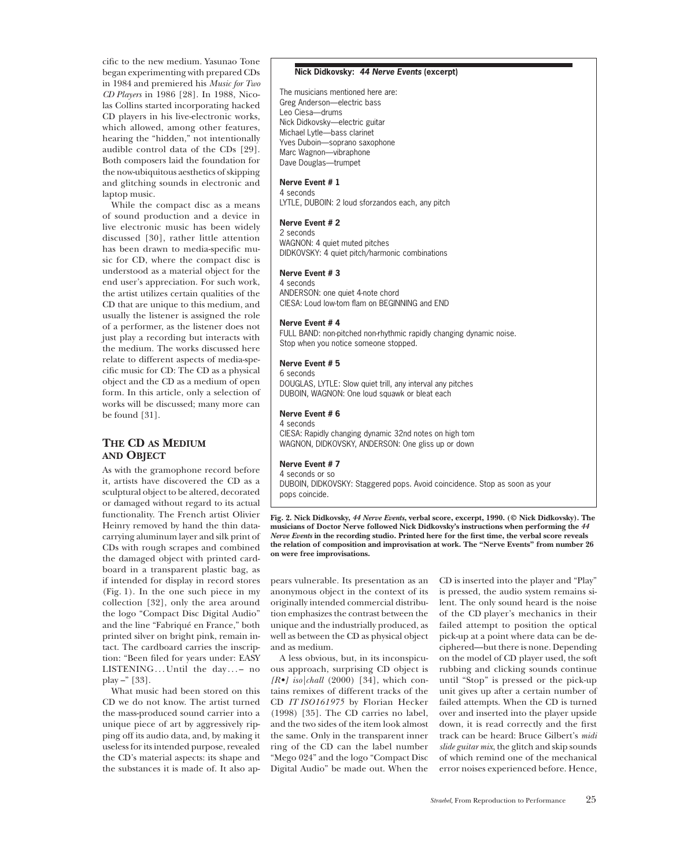cific to the new medium. Yasunao Tone began experimenting with prepared CDs in 1984 and premiered his *Music for Two CD Players* in 1986 [28]. In 1988, Nicolas Collins started incorporating hacked CD players in his live-electronic works, which allowed, among other features, hearing the "hidden," not intentionally audible control data of the CDs [29]. Both composers laid the foundation for the now-ubiquitous aesthetics of skipping and glitching sounds in electronic and laptop music.

While the compact disc as a means of sound production and a device in live electronic music has been widely discussed [30], rather little attention has been drawn to media-specific music for CD, where the compact disc is understood as a material object for the end user's appreciation. For such work, the artist utilizes certain qualities of the CD that are unique to this medium, and usually the listener is assigned the role of a performer, as the listener does not just play a recording but interacts with the medium. The works discussed here relate to different aspects of media-specific music for CD: The CD as a physical object and the CD as a medium of open form. In this article, only a selection of works will be discussed; many more can be found [31].

## **The CD as Medium and Object**

As with the gramophone record before it, artists have discovered the CD as a sculptural object to be altered, decorated or damaged without regard to its actual functionality. The French artist Olivier Heinry removed by hand the thin datacarrying aluminum layer and silk print of CDs with rough scrapes and combined the damaged object with printed cardboard in a transparent plastic bag, as if intended for display in record stores (Fig. 1). In the one such piece in my collection [32], only the area around the logo "Compact Disc Digital Audio" and the line "Fabriqué en France," both printed silver on bright pink, remain intact. The cardboard carries the inscription: "Been filed for years under: EASY LISTENING ... Until the day ... - no play –" [33].

What music had been stored on this CD we do not know. The artist turned the mass-produced sound carrier into a unique piece of art by aggressively ripping off its audio data, and, by making it useless for its intended purpose, revealed the CD's material aspects: its shape and the substances it is made of. It also ap-

#### **Nick Didkovsky:** *44 Nerve Events* **(excerpt)**

The musicians mentioned here are: Greg Anderson—electric bass Leo Ciesa—drums Nick Didkovsky—electric guitar Michael Lytle—bass clarinet Yves Duboin—soprano saxophone Marc Wagnon—vibraphone Dave Douglas—trumpet

#### **Nerve Event # 1**

4 seconds LYTLE, DUBOIN: 2 loud sforzandos each, any pitch

#### **Nerve Event # 2**

2 seconds WAGNON: 4 quiet muted pitches DIDKOVSKY: 4 quiet pitch/harmonic combinations

#### **Nerve Event # 3**

4 seconds ANDERSON: one quiet 4-note chord CIESA: Loud low-tom flam on BEGINNING and END

#### **Nerve Event # 4**

FULL BAND: non-pitched non-rhythmic rapidly changing dynamic noise. Stop when you notice someone stopped.

#### **Nerve Event # 5**

6 seconds DOUGLAS, LYTLE: Slow quiet trill, any interval any pitches DUBOIN, WAGNON: One loud squawk or bleat each

#### **Nerve Event # 6** 4 seconds

CIESA: Rapidly changing dynamic 32nd notes on high tom WAGNON, DIDKOVSKY, ANDERSON: One gliss up or down

#### **Nerve Event # 7**

4 seconds or so DUBOIN, DIDKOVSKY: Staggered pops. Avoid coincidence. Stop as soon as your pops coincide.

**Fig. 2. Nick Didkovsky,** *44 Nerve Events***, verbal score, excerpt, 1990. (© Nick Didkovsky). The musicians of Doctor Nerve followed Nick Didkovsky's instructions when performing the** *44 Nerve Events* **in the recording studio. Printed here for the first time, the verbal score reveals the relation of composition and improvisation at work. The "Nerve Events" from number 26 on were free improvisations.**

pears vulnerable. Its presentation as an anonymous object in the context of its originally intended commercial distribution emphasizes the contrast between the unique and the industrially produced, as well as between the CD as physical object and as medium.

A less obvious, but, in its inconspicuous approach, surprising CD object is *[R•] iso|chall* (2000) [34], which contains remixes of different tracks of the CD *IT ISO161975* by Florian Hecker (1998) [35]. The CD carries no label, and the two sides of the item look almost the same. Only in the transparent inner ring of the CD can the label number "Mego 024" and the logo "Compact Disc Digital Audio" be made out. When the

CD is inserted into the player and "Play" is pressed, the audio system remains silent. The only sound heard is the noise of the CD player's mechanics in their failed attempt to position the optical pick-up at a point where data can be deciphered—but there is none. Depending on the model of CD player used, the soft rubbing and clicking sounds continue until "Stop" is pressed or the pick-up unit gives up after a certain number of failed attempts. When the CD is turned over and inserted into the player upside down, it is read correctly and the first track can be heard: Bruce Gilbert's *midi slide guitar mix*, the glitch and skip sounds of which remind one of the mechanical error noises experienced before. Hence,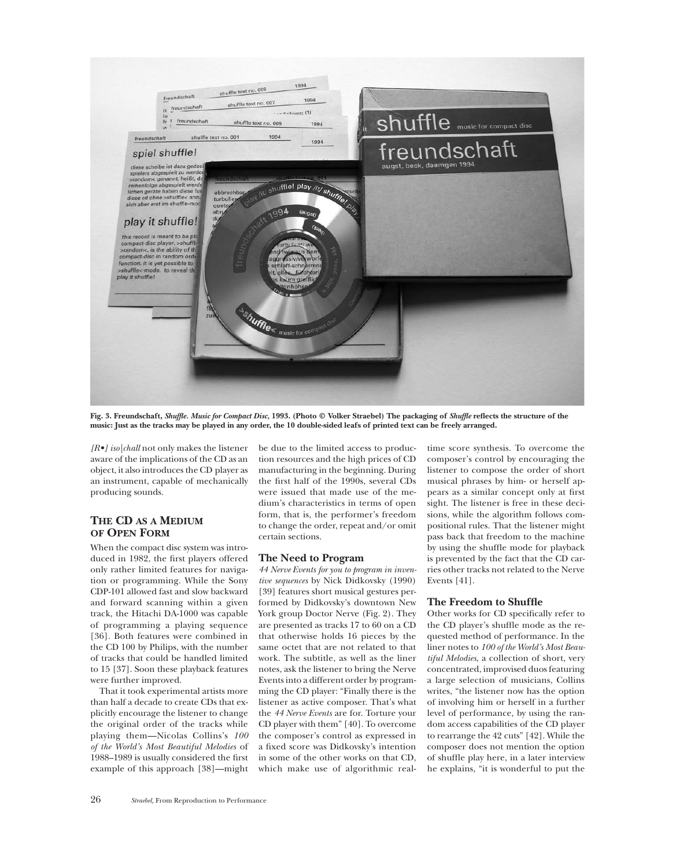

**Fig. 3. Freundschaft,** *Shuffle. Music for Compact Disc,* **1993. (Photo © Volker Straebel) The packaging of** *Shuffle* **reflects the structure of the music: Just as the tracks may be played in any order, the 10 double-sided leafs of printed text can be freely arranged.**

*[R•] iso|chall* not only makes the listener aware of the implications of the CD as an object, it also introduces the CD player as an instrument, capable of mechanically producing sounds.

## **The CD as a Medium of Open Form**

When the compact disc system was introduced in 1982, the first players offered only rather limited features for navigation or programming. While the Sony CDP-101 allowed fast and slow backward and forward scanning within a given track, the Hitachi DA-1000 was capable of programming a playing sequence [36]. Both features were combined in the CD 100 by Philips, with the number of tracks that could be handled limited to 15 [37]. Soon these playback features were further improved.

That it took experimental artists more than half a decade to create CDs that explicitly encourage the listener to change the original order of the tracks while playing them—Nicolas Collins's *100 of the World's Most Beautiful Melodies* of 1988--1989 is usually considered the first example of this approach [38]—might be due to the limited access to production resources and the high prices of CD manufacturing in the beginning. During the first half of the 1990s, several CDs were issued that made use of the medium's characteristics in terms of open form, that is, the performer's freedom to change the order, repeat and/or omit certain sections.

## **The Need to Program**

*44 Nerve Events for you to program in inventive sequences* by Nick Didkovsky (1990) [39] features short musical gestures performed by Didkovsky's downtown New York group Doctor Nerve (Fig. 2). They are presented as tracks 17 to 60 on a CD that otherwise holds 16 pieces by the same octet that are not related to that work. The subtitle, as well as the liner notes, ask the listener to bring the Nerve Events into a different order by programming the CD player: "Finally there is the listener as active composer. That's what the *44 Nerve Events* are for. Torture your CD player with them" [40]. To overcome the composer's control as expressed in a fixed score was Didkovsky's intention in some of the other works on that CD, which make use of algorithmic real-

time score synthesis. To overcome the composer's control by encouraging the listener to compose the order of short musical phrases by him- or herself appears as a similar concept only at first sight. The listener is free in these decisions, while the algorithm follows compositional rules. That the listener might pass back that freedom to the machine by using the shuffle mode for playback is prevented by the fact that the CD carries other tracks not related to the Nerve Events [41].

## **The Freedom to Shuffle**

Other works for CD specifically refer to the CD player's shuffle mode as the requested method of performance. In the liner notes to *100 of the World's Most Beautiful Melodies*, a collection of short, very concentrated, improvised duos featuring a large selection of musicians, Collins writes, "the listener now has the option of involving him or herself in a further level of performance, by using the random access capabilities of the CD player to rearrange the 42 cuts" [42]. While the composer does not mention the option of shuffle play here, in a later interview he explains, "it is wonderful to put the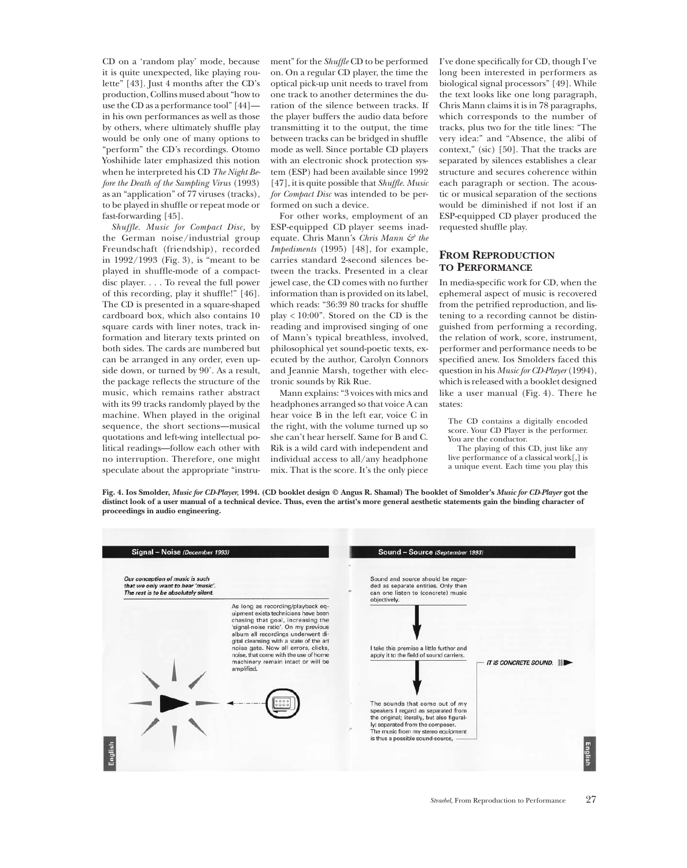CD on a 'random play' mode, because it is quite unexpected, like playing roulette" [43]. Just 4 months after the CD's production, Collins mused about "how to use the CD as a performance tool" [44] in his own performances as well as those by others, where ultimately shuffle play would be only one of many options to "perform" the CD's recordings. Otomo Yoshihide later emphasized this notion when he interpreted his CD *The Night Before the Death of the Sampling Virus* (1993) as an "application" of 77 viruses (tracks), to be played in shuffle or repeat mode or fast-forwarding [45].

*Shuffle. Music for Compact Disc,* by the German noise/industrial group Freundschaft (friendship), recorded in 1992/1993 (Fig. 3), is "meant to be played in shuffle-mode of a compactdisc player. . . . To reveal the full power of this recording, play it shuffle!" [46]. The CD is presented in a square-shaped cardboard box, which also contains 10 square cards with liner notes, track information and literary texts printed on both sides. The cards are numbered but can be arranged in any order, even upside down, or turned by 90˚. As a result, the package reflects the structure of the music, which remains rather abstract with its 99 tracks randomly played by the machine. When played in the original sequence, the short sections—musical quotations and left-wing intellectual political readings—follow each other with no interruption. Therefore, one might speculate about the appropriate "instru-

ment" for the *Shuffle* CD to be performed on. On a regular CD player, the time the optical pick-up unit needs to travel from one track to another determines the duration of the silence between tracks. If the player buffers the audio data before transmitting it to the output, the time between tracks can be bridged in shuffle mode as well. Since portable CD players with an electronic shock protection system (ESP) had been available since 1992 [47], it is quite possible that *Shuffle. Music for Compact Disc* was intended to be performed on such a device.

For other works, employment of an ESP-equipped CD player seems inadequate. Chris Mann's *Chris Mann & the Impediments* (1995) [48], for example, carries standard 2-second silences between the tracks. Presented in a clear jewel case, the CD comes with no further information than is provided on its label, which reads: "36:39 80 tracks for shuffle play < 10:00". Stored on the CD is the reading and improvised singing of one of Mann's typical breathless, involved, philosophical yet sound-poetic texts, executed by the author, Carolyn Connors and Jeannie Marsh, together with electronic sounds by Rik Rue.

Mann explains: "3 voices with mics and headphones arranged so that voice A can hear voice B in the left ear, voice C in the right, with the volume turned up so she can't hear herself. Same for B and C. Rik is a wild card with independent and individual access to all/any headphone mix. That is the score. It's the only piece

I've done specifically for CD, though I've long been interested in performers as biological signal processors" [49]. While the text looks like one long paragraph, Chris Mann claims it is in 78 paragraphs, which corresponds to the number of tracks, plus two for the title lines: "The very idea:" and "Absence, the alibi of context," (sic) [50]. That the tracks are separated by silences establishes a clear structure and secures coherence within each paragraph or section. The acoustic or musical separation of the sections would be diminished if not lost if an ESP-equipped CD player produced the requested shuffle play.

## **From Reproduction to Performance**

In media-specific work for CD, when the ephemeral aspect of music is recovered from the petrified reproduction, and listening to a recording cannot be distinguished from performing a recording, the relation of work, score, instrument, performer and performance needs to be specified anew. Ios Smolders faced this question in his *Music for CD-Player* (1994), which is released with a booklet designed like a user manual (Fig. 4). There he states:

The CD contains a digitally encoded score. Your CD Player is the performer. You are the conductor.

The playing of this CD, just like any live performance of a classical work[,] is a unique event. Each time you play this

**Fig. 4. Ios Smolder,** *Music for CD‑Player,* **1994. (CD booklet design © Angus R. Shamal) The booklet of Smolder's** *Music for CD‑Player* **got the distinct look of a user manual of a technical device. Thus, even the artist's more general aesthetic statements gain the binding character of proceedings in audio engineering.**

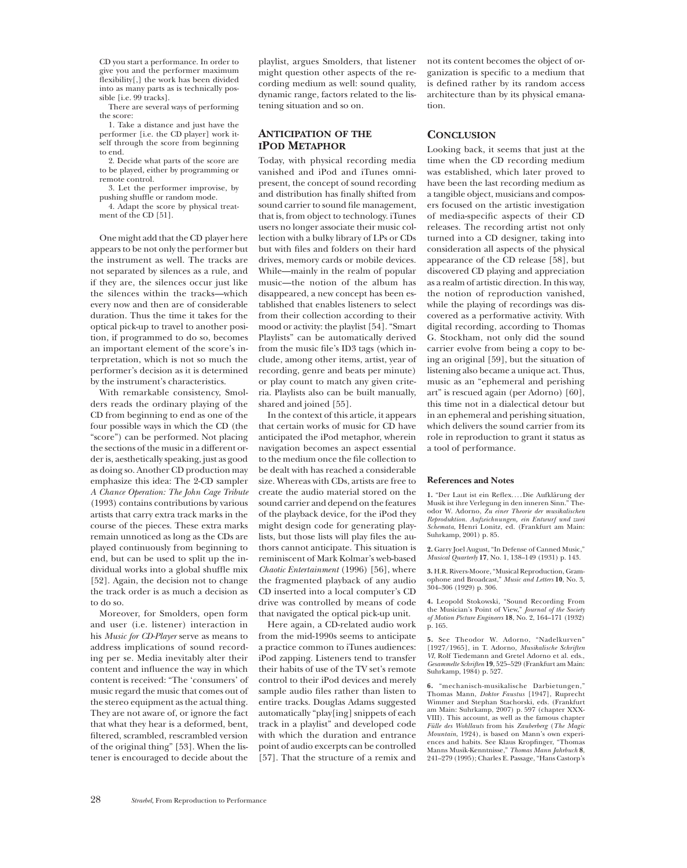CD you start a performance. In order to give you and the performer maximum flexibility[,] the work has been divided into as many parts as is technically possible [i.e. 99 tracks].

There are several ways of performing the score:

1. Take a distance and just have the performer [i.e. the CD player] work itself through the score from beginning to end.

2. Decide what parts of the score are to be played, either by programming or remote control.

- 3. Let the performer improvise, by
- pushing shuffle or random mode.

4. Adapt the score by physical treatment of the CD [51].

One might add that the CD player here appears to be not only the performer but the instrument as well. The tracks are not separated by silences as a rule, and if they are, the silences occur just like the silences within the tracks—which every now and then are of considerable duration. Thus the time it takes for the optical pick-up to travel to another position, if programmed to do so, becomes an important element of the score's interpretation, which is not so much the performer's decision as it is determined by the instrument's characteristics.

With remarkable consistency, Smolders reads the ordinary playing of the CD from beginning to end as one of the four possible ways in which the CD (the "score") can be performed. Not placing the sections of the music in a different order is, aesthetically speaking, just as good as doing so. Another CD production may emphasize this idea: The 2-CD sampler *A Chance Operation: The John Cage Tribute* (1993) contains contributions by various artists that carry extra track marks in the course of the pieces. These extra marks remain unnoticed as long as the CDs are played continuously from beginning to end, but can be used to split up the individual works into a global shuffle mix [52]. Again, the decision not to change the track order is as much a decision as to do so.

Moreover, for Smolders, open form and user (i.e. listener) interaction in his *Music for CD-Player* serve as means to address implications of sound recording per se. Media inevitably alter their content and influence the way in which content is received: "The 'consumers' of music regard the music that comes out of the stereo equipment as the actual thing. They are not aware of, or ignore the fact that what they hear is a deformed, bent, filtered, scrambled, rescrambled version of the original thing" [53]. When the listener is encouraged to decide about the

playlist, argues Smolders, that listener might question other aspects of the recording medium as well: sound quality, dynamic range, factors related to the listening situation and so on.

## **Anticipation of the iPod Metaphor**

Today, with physical recording media vanished and iPod and iTunes omnipresent, the concept of sound recording and distribution has finally shifted from sound carrier to sound file management, that is, from object to technology. iTunes users no longer associate their music collection with a bulky library of LPs or CDs but with files and folders on their hard drives, memory cards or mobile devices. While—mainly in the realm of popular music—the notion of the album has disappeared, a new concept has been established that enables listeners to select from their collection according to their mood or activity: the playlist [54]. "Smart Playlists" can be automatically derived from the music file's ID3 tags (which include, among other items, artist, year of recording, genre and beats per minute) or play count to match any given criteria. Playlists also can be built manually, shared and joined [55].

In the context of this article, it appears that certain works of music for CD have anticipated the iPod metaphor, wherein navigation becomes an aspect essential to the medium once the file collection to be dealt with has reached a considerable size. Whereas with CDs, artists are free to create the audio material stored on the sound carrier and depend on the features of the playback device, for the iPod they might design code for generating playlists, but those lists will play files the authors cannot anticipate. This situation is reminiscent of Mark Kolmar's web-based *Chaotic Entertainment* (1996) [56], where the fragmented playback of any audio CD inserted into a local computer's CD drive was controlled by means of code that navigated the optical pick-up unit.

Here again, a CD-related audio work from the mid-1990s seems to anticipate a practice common to iTunes audiences: iPod zapping. Listeners tend to transfer their habits of use of the TV set's remote control to their iPod devices and merely sample audio files rather than listen to entire tracks. Douglas Adams suggested automatically "play[ing] snippets of each track in a playlist" and developed code with which the duration and entrance point of audio excerpts can be controlled [57]. That the structure of a remix and

not its content becomes the object of organization is specific to a medium that is defined rather by its random access architecture than by its physical emanation.

## **Conclusion**

Looking back, it seems that just at the time when the CD recording medium was established, which later proved to have been the last recording medium as a tangible object, musicians and composers focused on the artistic investigation of media-specific aspects of their CD releases. The recording artist not only turned into a CD designer, taking into consideration all aspects of the physical appearance of the CD release [58], but discovered CD playing and appreciation as a realm of artistic direction. In this way, the notion of reproduction vanished, while the playing of recordings was discovered as a performative activity. With digital recording, according to Thomas G. Stockham, not only did the sound carrier evolve from being a copy to being an original [59], but the situation of listening also became a unique act. Thus, music as an "ephemeral and perishing art" is rescued again (per Adorno) [60], this time not in a dialectical detour but in an ephemeral and perishing situation, which delivers the sound carrier from its role in reproduction to grant it status as a tool of performance.

#### **References and Notes**

1. "Der Laut ist ein Reflex....Die Aufklärung der Musik ist ihre Verlegung in den inneren Sinn." odor W. Adorno, *Zu einer Theorie der musikalischen Reproduktion. Aufzeichnungen, ein Entwurf und zwei Schemata*, Henri Lonitz, ed. (Frankfurt am Main: Suhrkamp, 2001) p. 85.

**2.** Garry Joel August, "In Defense of Canned Music," *Musical Quarterly* **17**, No. 1, 138--149 (1931) p. 143.

**3.** H.R. Rivers-Moore, "Musical Reproduction, Gramophone and Broadcast," *Music and Letters* **10**, No. 3, 304--306 (1929) p. 306.

**4.** Leopold Stokowski, "Sound Recording From the Musician's Point of View," *Journal of the Society of Motion Picture Engineers* **18**, No. 2, 164–171 (1932) p. 165.

**5.** See Theodor W. Adorno, "Nadelkurven" [1927/1965], in T. Adorno, *Musikalische Schriften VI*, Rolf Tiedemann and Gretel Adorno et al. eds., *Gesammelte Schriften* **19**, 525--529 (Frankfurt am Main: Suhrkamp, 1984) p. 527.

**6.** "mechanisch-musikalische Darbietungen," Thomas Mann, *Doktor Faustus* [1947], Ruprecht Wimmer and Stephan Stachorski, eds. (Frankfurt am Main: Suhrkamp, 2007) p. 597 (chapter XXX-VIII). This account, as well as the famous chapter *Fülle des Wohllauts* from his *Zauberberg* (*The Magic Mountain*, 1924), is based on Mann's own experiences and habits. See Klaus Kropfinger, "Thomas Manns Musik-Kenntnisse," *Thomas Mann Jahrbuch* **8**, 241-279 (1995); Charles E. Passage, "Hans Castorp's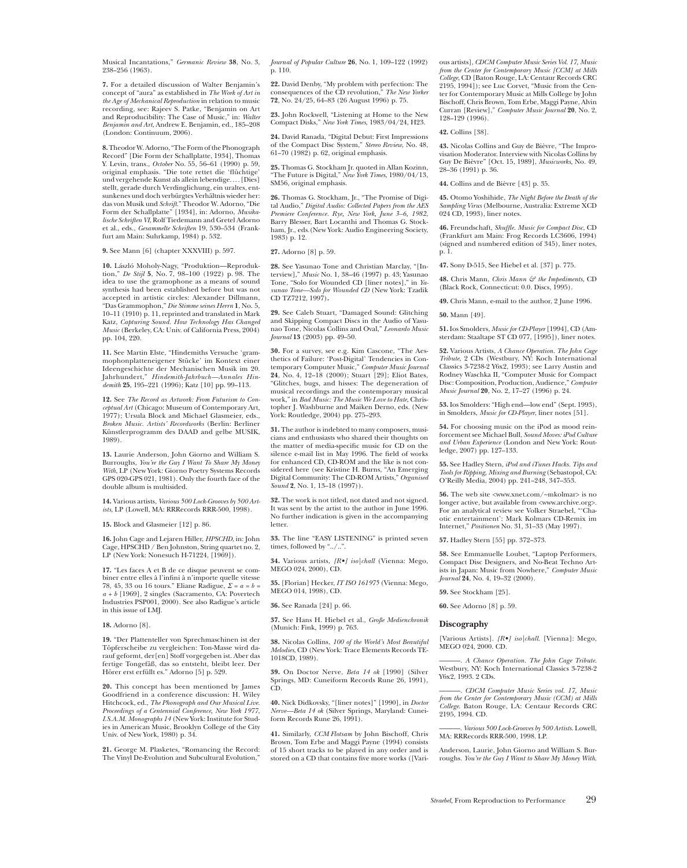Musical Incantations," *Germanic Review* **38**, No. 3, 238--256 (1963).

**7.** For a detailed discussion of Walter Benjamin's concept of "aura" as established in *The Work of Art in the Age of Mechanical Reproduction* in relation to music recording, see: Rajeev S. Patke, "Benjamin on Art and Reproducibility: The Case of Music," in: *Walter Benjamin and Art*, Andrew E. Benjamin, ed., 185-208 (London: Continuum, 2006).

**8.** Theodor W. Adorno, "The Form of the Phonograph Record" [Die Form der Schallplatte, 1934], Thomas Y. Levin, trans., *October* No. 55, 56-61 (1990) p. 59, original emphasis. "Die tote rettet die 'flüchtige' und vergehende Kunst als allein lebendige.... [Dies] stellt, gerade durch Verdinglichung, ein uraltes, entsunkenes und doch verbürgtes Verhältnis wieder her: das von Musik und *Schrift*." Theodor W. Adorno, "Die Form der Schallplatte" [1934], in: Adorno, *Musikalische Schriften VI*, Rolf Tiedemann and Gretel Adorno et al., eds., *Gesammelte Schriften* 19, 530-534 (Frankfurt am Main: Suhrkamp, 1984) p. 532.

**9.** See Mann [6] (chapter XXXVIII) p. 597.

**10.** László Moholy-Nagy, "Produktion—Reproduktion," *De Stijl* **5**, No. 7, 98--100 (1922) p. 98. The idea to use the gramophone as a means of sound synthesis had been established before but was not accepted in artistic circles: Alexander Dillmann, "Das Grammophon," *Die Stimme seines Herrn* **1**, No. 5, 10–11 (1910) p. 11, reprinted and translated in Mark Katz, *Capturing Sound. How Technology Has Changed Music* (Berkeley, CA: Univ. of California Press, 2004) pp. 104, 220.

**11.** See Martin Elste, "Hindemiths Versuche 'grammophonplatteneigener Stücke' im Kontext einer Ideengeschichte der Mechanischen Musik im 20. Jahrhundert," *Hindemith-Jahrbuch—Annales Hindemith* **25**, 195--221 (1996); Katz [10] pp. 99--113.

**12.** See *The Record as Artwork: From Futurism to Conceptual Art* (Chicago: Museum of Contemporary Art, 1977); Ursula Block and Michael Glasmeier, eds., *Broken Music. Artists' Recordworks* (Berlin: Berliner Künstlerprogramm des DAAD and gelbe MUSIK, 1989).

**13.** Laurie Anderson, John Giorno and William S. Burroughs, *You're the Guy I Want To Share My Money With*, LP (New York: Giorno Poetry Systems Records GPS 020-GPS 021, 1981). Only the fourth face of the double album is multisided.

**14.** Various artists, *Various 500 Lock-Grooves by 500 Artists*, LP (Lowell, MA: RRRecords RRR-500, 1998).

**15.** Block and Glasmeier [12] p. 86.

**16.** John Cage and Lejaren Hiller, *HPSCHD*, in: John Cage, HPSCHD / Ben Johnston, String quartet no. 2, LP (New York: Nonesuch H-71224, [1969]).

**17.** "Les faces A et B de ce disque peuvent se combiner entre elles à l'infini à n'importe quelle vitesse 78, 45, 33 ou 16 tours." Eliane Radigue, Σ *= a = b = a + b* [1969], 2 singles (Sacramento, CA: Povertech Industries PSP001, 2000). See also Radigue's article in this issue of LMJ.

#### **18.** Adorno [8].

**19.** "Der Plattenteller von Sprechmaschinen ist der Töpferscheibe zu vergleichen: Ton-Masse wird darauf geformt, der[en] Stoff vorgegeben ist. Aber das fertige Tongefäß, das so entsteht, bleibt leer. Der Hörer erst erfüllt es." Adorno [5] p. 529.

**20.** This concept has been mentioned by James Goodfriend in a conference discussion: H. Wiley Hitchcock, ed., *The Phonograph and Our Musical Live. Proceedings of a Centennial Conference, New York 1977*, *I.S.A.M. Monographs 14* (New York: Institute for Studies in American Music, Brooklyn College of the City Univ. of New York, 1980) p. 34.

**21.** George M. Plasketes, "Romancing the Record: The Vinyl De-Evolution and Subcultural Evolution,"

Journal of Popular Culture  $26$ , No. 1, 109-122 (1992) p. 110.

22. David Denby, "My problem with perfection: The consequences of the CD revolution." The New Yorker consequences of the CD revolution, **72**, No. 24/25, 64--83 (26 August 1996) p. 75.

**23.** John Rockwell, "Listening at Home to the New Compact Disks," *New York Times*, 1983/04/24, H23.

**24.** David Ranada, "Digital Debut: First Impressions of the Compact Disc System," *Stereo Review*, No. 48, 61--70 (1982) p. 62, original emphasis.

**25.** Thomas G. Stockham Jr. quoted in Allan Kozinn, "The Future is Digital," *New York Times*, 1980/04/13, SM56, original emphasis.

**26.** Thomas G. Stockham, Jr., "The Promise of Digital Audio," *Digital Audio: Collected Papers from the AES Premiere Conference. Rye, New York, June 3--6, 1982*, Barry Blesser, Bart Locanthi and Thomas G. Stockham, Jr., eds.(New York: Audio Engineering Society, 1983) p. 12.

#### **27.** Adorno [8] p. 59.

**28.** See Yasunao Tone and Christian Marclay, "[Interview]," *Music* No. 1, 38--46 (1997) p. 43; Yasunao Tone, "Solo for Wounded CD [liner notes]," in *Yasunao Tone—Solo for Wounded CD* (New York: Tzadik CD TZ7212, 1997)**.**

**29.** See Caleb Stuart, "Damaged Sound: Glitching and Skipping Compact Discs in the Audio of Yasunao Tone, Nicolas Collins and Oval," *Leonardo Music Journal* 13 (2003) pp. 49-50.

**30.** For a survey, see e.g. Kim Cascone, "The Aesthetics of Failure: 'Post-Digital' Tendencies in Contemporary Computer Music," *Computer Music Journal* **24**, No. 4, 12--18 (2000); Stuart [29]; Eliot Bates, "Glitches, bugs, and hisses: The degeneration of musical recordings and the contemporary musical work," in *Bad Music: The Music We Love to Hate*, Christopher J. Washburne and Maiken Derno, eds. (New York: Routledge, 2004) pp. 275-293.

**31.** The author is indebted to many composers, musicians and enthusiasts who shared their thoughts on the matter of media-specific music for CD on the silence e-mail list in May 1996. The field of works for enhanced CD, CD-ROM and the like is not considered here (see Kristine H. Burns, "An Emerging Digital Community: The CD-ROM Artists," *Organised Sound* 2, No. 1, 13–18 (1997)).

**32.** The work is not titled, not dated and not signed. It was sent by the artist to the author in June 1996. No further indication is given in the accompanying **letter** 

**33.** The line "EASY LISTENING" is printed seven times, followed by "../.."

**34.** Various artists, *[R•] iso|chall* (Vienna: Mego, MEGO 024, 2000), CD.

**35.** [Florian] Hecker, *IT ISO 161975* (Vienna: Mego, MEGO 014, 1998), CD.

**36.** See Ranada [24] p. 66.

**37.** See Hans H. Hiebel et al., *Große Medienchronik* (Munich: Fink, 1999) p. 763.

**38.** Nicolas Collins, *100 of the World's Most Beautiful Melodies*, CD (New York: Trace Elements Records TE-1018CD, 1989).

**39.** On Doctor Nerve, *Beta 14 ok* [1990] (Silver Springs, MD: Cuneiform Records Rune 26, 1991), CD.

**40.** Nick Didkovsky, "[liner notes]" [1990], in *Doctor Nerve—Beta 14 ok* (Silver Springs, Maryland: Cuneiform Records Rune 26, 1991).

**41.** Similarly, *CCM Flotsam* by John Bischoff, Chris Brown, Tom Erbe and Maggi Payne (1994) consists of 15 short tracks to be played in any order and is stored on a CD that contains five more works ([Various artists], *CDCM Computer Music Series Vol. 17, Music from the Center for Contemporary Music [CCM] at Mills College*, CD [Baton Rouge, LA: Centaur Records CRC 2195, 1994]); see Luc Corvet, "Music from the Center for Contemporary Music at Mills College by John Bischoff, Chris Brown, Tom Erbe, Maggi Payne, Alvin Curran [Review]," *Computer Music Journal* **20**, No. 2, 128--129 (1996).

#### **42.** Collins [38].

**43.** Nicolas Collins and Guy de Bièvre, "The Improvisation Moderator. Interview with Nicolas Collins by Guy De Bièvre" [Oct. 15, 1989], *Musicworks,* No. 49, 28--36 (1991) p. 36.

**44.** Collins and de Bièvre [43] p. 35.

**45.** Otomo Yoshihide, *The Night Before the Death of the Sampling Virus* (Melbourne, Australia: Extreme XCD 024 CD, 1993), liner notes.

**46.** Freundschaft, *Shuffle. Music for Compact Disc*, CD (Frankfurt am Main: Frog Records LC3606, 1994) (signed and numbered edition of 345), liner notes, p.  $\breve{1}$ .

**47.** Sony D-515, See Hiebel et al. [37] p. 775.

**48.** Chris Mann, *Chris Mann & the Impediments*, CD (Black Rock, Connecticut: 0.0. Discs, 1995).

**49.** Chris Mann, e-mail to the author, 2 June 1996.

**50.** Mann [49].

**51.** Ios Smolders, *Music for CD-Player* [1994], CD (Amsterdam: Staaltape ST CD 077, [1995]), liner notes.

**52.** Various Artists, *A Chance Operation. The John Cage Tribute*, 2 CDs (Westbury, NY: Koch International Classics 3-7238-2 Y6x2, 1993); see Larry Austin and Rodney Waschka II, "Computer Music for Compact Disc: Composition, Production, Audience," *Computer Music Journal* 20, No. 2, 17-27 (1996) p. 24.

**53.** Ios Smolders: "High end—low end" (Sept. 1993), in Smolders, *Music for CD-Player*, liner notes [51].

**54.** For choosing music on the iPod as mood reinforcement see Michael Bull, *Sound Moves: iPod Culture and Urban Experience* (London and New York: Routledge, 2007) pp. 127-133.

**55.** See Hadley Stern, *iPod and iTunes Hacks. Tips and Tools for Ripping, Mixing and Burning* (Sebastopol, CA: O'Reilly Media, 2004) pp. 241-248, 347-353.

**56.** The web site <www.xnet.com/~mkolmar> is no longer active, but available from <www.archive.org>. For an analytical review see Volker Straebel, "'Chaotic entertainment': Mark Kolmars CD-Remix im Internet," Positionen No. 31, 31-33 (May 1997).

**57.** Hadley Stern [55] pp. 372--373.

**58.** See Emmanuelle Loubet, "Laptop Performers, Compact Disc Designers, and No-Beat Techno Artists in Japan: Music from Nowhere," *Computer Music Journal* 24, No. 4, 19-32 (2000).

**59.** See Stockham [25].

**60.** See Adorno [8] p. 59.

#### **Discography**

[Various Artists]. *[R•] iso|chall*. [Vienna]: Mego, MEGO 024, 2000. CD.

———. *A Chance Operation. The John Cage Tribute*. Westbury, NY: Koch International Classics 3-7238-2 Y6x2, 1993. 2 CDs.

———. *CDCM Computer Music Series vol. 17, Music from the Center for Contemporary Music (CCM) at Mills College*. Baton Rouge, LA: Centaur Records CRC 2195, 1994. CD.

———. *Various 500 Lock-Grooves by 500 Artists*. Lowell, MA: RRRecords RRR-500, 1998. LP.

Anderson, Laurie, John Giorno and William S. Burroughs. *You're the Guy I Want to Share My Money With*.